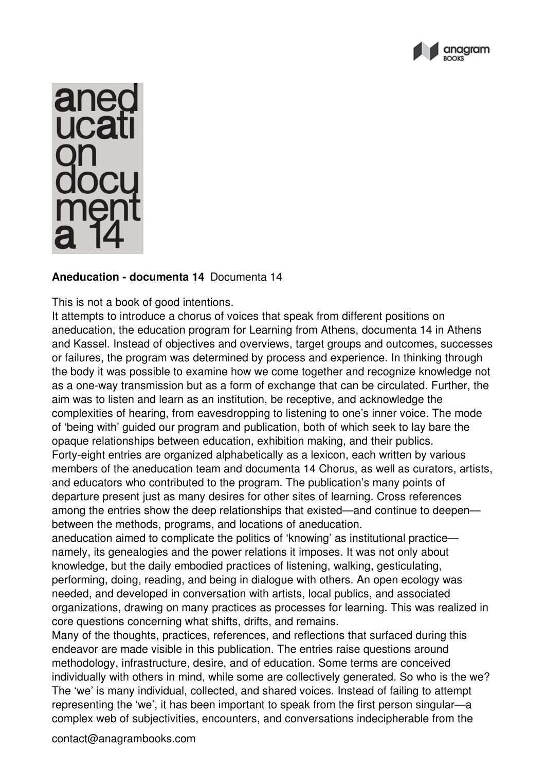



## **Aneducation - documenta 14** Documenta 14

This is not a book of good intentions.

It attempts to introduce a chorus of voices that speak from different positions on aneducation, the education program for Learning from Athens, documenta 14 in Athens and Kassel. Instead of objectives and overviews, target groups and outcomes, successes or failures, the program was determined by process and experience. In thinking through the body it was possible to examine how we come together and recognize knowledge not as a one-way transmission but as a form of exchange that can be circulated. Further, the aim was to listen and learn as an institution, be receptive, and acknowledge the complexities of hearing, from eavesdropping to listening to one's inner voice. The mode of 'being with' guided our program and publication, both of which seek to lay bare the opaque relationships between education, exhibition making, and their publics. Forty-eight entries are organized alphabetically as a lexicon, each written by various members of the aneducation team and documenta 14 Chorus, as well as curators, artists, and educators who contributed to the program. The publication's many points of departure present just as many desires for other sites of learning. Cross references among the entries show the deep relationships that existed—and continue to deepen between the methods, programs, and locations of aneducation.

aneducation aimed to complicate the politics of 'knowing' as institutional practice namely, its genealogies and the power relations it imposes. It was not only about knowledge, but the daily embodied practices of listening, walking, gesticulating, performing, doing, reading, and being in dialogue with others. An open ecology was needed, and developed in conversation with artists, local publics, and associated organizations, drawing on many practices as processes for learning. This was realized in core questions concerning what shifts, drifts, and remains.

Many of the thoughts, practices, references, and reflections that surfaced during this endeavor are made visible in this publication. The entries raise questions around methodology, infrastructure, desire, and of education. Some terms are conceived individually with others in mind, while some are collectively generated. So who is the we? The 'we' is many individual, collected, and shared voices. Instead of failing to attempt representing the 'we', it has been important to speak from the first person singular—a complex web of subjectivities, encounters, and conversations indecipherable from the

contact@anagrambooks.com